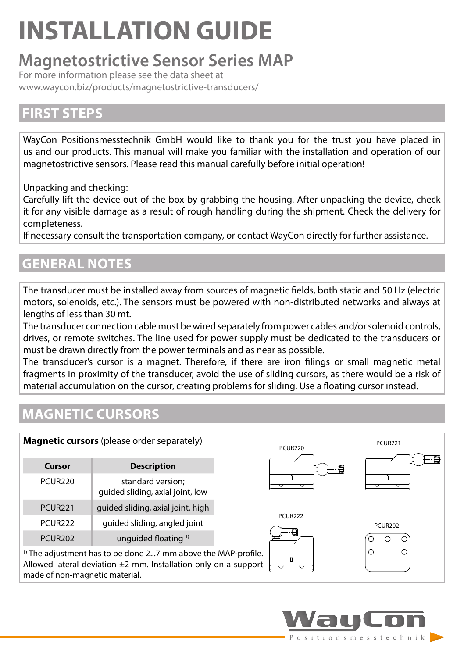# **INSTALLATION GUIDE**

## **Magnetostrictive Sensor Series MAP**

For more information please see the data sheet at www.waycon.biz/products/magnetostrictive-transducers/

### **FIRST STEPS**

WayCon Positionsmesstechnik GmbH would like to thank you for the trust you have placed in us and our products. This manual will make you familiar with the installation and operation of our magnetostrictive sensors. Please read this manual carefully before initial operation!

Unpacking and checking:

Carefully lift the device out of the box by grabbing the housing. After unpacking the device, check it for any visible damage as a result of rough handling during the shipment. Check the delivery for completeness.

If necessary consult the transportation company, or contact WayCon directly for further assistance.

### **GENERAL NOTES**

The transducer must be installed away from sources of magnetic fields, both static and 50 Hz (electric motors, solenoids, etc.). The sensors must be powered with non-distributed networks and always at lengths of less than 30 mt.

The transducer connection cable must be wired separately from power cables and/or solenoid controls, drives, or remote switches. The line used for power supply must be dedicated to the transducers or must be drawn directly from the power terminals and as near as possible.

The transducer's cursor is a magnet. Therefore, if there are iron filings or small magnetic metal fragments in proximity of the transducer, avoid the use of sliding cursors, as there would be a risk of material accumulation on the cursor, creating problems for sliding. Use a floating cursor instead.

### **MAGNETIC CURSORS**

| Magnetic cursors (please order separately)                                                                                                                                         |                                                       | PCUR220             | <b>PCUR221</b> |
|------------------------------------------------------------------------------------------------------------------------------------------------------------------------------------|-------------------------------------------------------|---------------------|----------------|
| Cursor                                                                                                                                                                             | <b>Description</b>                                    | -9                  |                |
| <b>PCUR220</b>                                                                                                                                                                     | standard version;<br>guided sliding, axial joint, low |                     |                |
| PCUR <sub>221</sub>                                                                                                                                                                | guided sliding, axial joint, high                     |                     |                |
| PCUR222                                                                                                                                                                            | guided sliding, angled joint                          | PCUR <sub>222</sub> | <b>PCUR202</b> |
| <b>PCUR202</b>                                                                                                                                                                     | unquided floating <sup>1)</sup>                       |                     |                |
| <sup>1)</sup> The adjustment has to be done 27 mm above the MAP-profile.<br>Allowed lateral deviation $\pm 2$ mm. Installation only on a support<br>made of non-magnetic material. |                                                       |                     | Ω              |

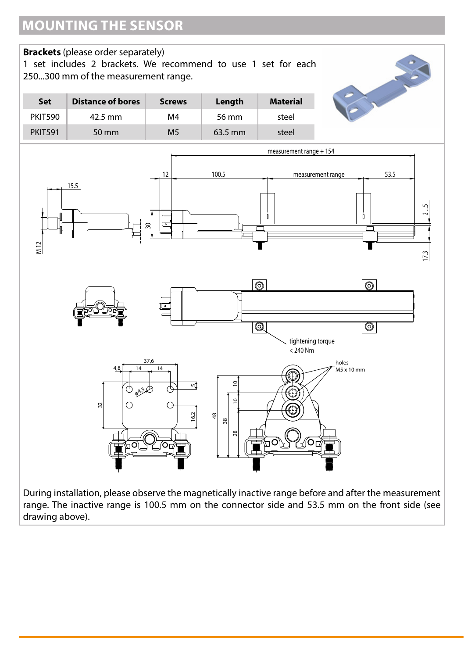

range. The inactive range is 100.5 mm on the connector side and 53.5 mm on the front side (see drawing above).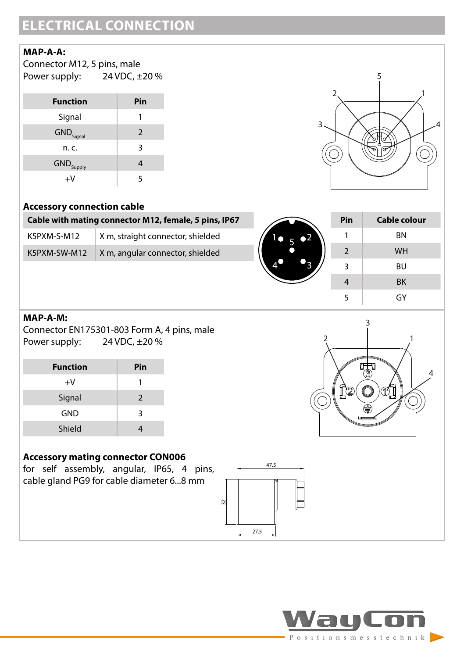# **ELECTRICAL CONNECTION**

#### **MAP-A-A:**

| Connector M12, 5 pins, male |               |
|-----------------------------|---------------|
| Power supply:               | 24 VDC, ±20 % |

| <b>Function</b>                | Pin |
|--------------------------------|-----|
| Signal                         |     |
| $\mathsf{GND}_\mathsf{Signal}$ | 2   |
| n. c.                          | 3   |
| GND <sub>Supply</sub>          | 4   |
| +V                             | 5   |



#### **Accessory connection cable**

| Cable with mating connector M12, female, 5 pins, IP67 |                                   |  |
|-------------------------------------------------------|-----------------------------------|--|
| K5PXM-S-M12                                           | X m, straight connector, shielded |  |
| K5PXM-SW-M12                                          | X m, angular connector, shielded  |  |



ົ

 $\mathbb{R}^2$ 

| Pin | Cable colour |  |
|-----|--------------|--|
| 1   | <b>BN</b>    |  |
| 2   | <b>WH</b>    |  |
| 3   | BU           |  |
| 4   | <b>BK</b>    |  |
| 5   | GY           |  |

3

1

4

#### **MAP-A-M:**

Connector EN175301-803 Form A, 4 pins, male Power supply: 24 VDC, ±20 %

| <b>Function</b> | Pin           |
|-----------------|---------------|
| $+V$            | ı             |
| Signal          | $\mathcal{P}$ |
| <b>GND</b>      | 3             |
| Shield          |               |

#### **Accessory mating connector CON006**

for self assembly, angular, IP65, 4 pins, cable gland PG9 for cable diameter 6...8 mm



47.5